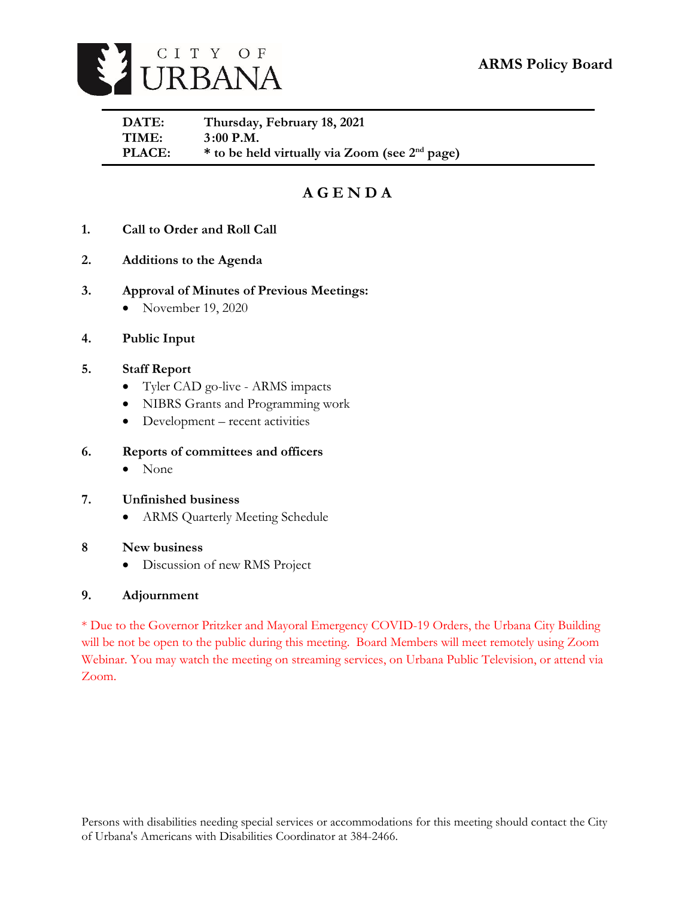

| DATE:         | Thursday, February 18, 2021                                |
|---------------|------------------------------------------------------------|
| TIME:         | $3:00$ P.M.                                                |
| <b>PLACE:</b> | * to be held virtually via Zoom (see 2 <sup>nd</sup> page) |

# **A G E N D A**

- **1. Call to Order and Roll Call**
- **2. Additions to the Agenda**
- **3. Approval of Minutes of Previous Meetings:** 
	- November 19, 2020
- **4. Public Input**
- **5. Staff Report**
	- Tyler CAD go-live ARMS impacts
	- NIBRS Grants and Programming work
	- Development recent activities

### **6. Reports of committees and officers**

• None

### **7. Unfinished business**

ARMS Quarterly Meeting Schedule

### **8 New business**

Discussion of new RMS Project

### **9. Adjournment**

\* Due to the Governor Pritzker and Mayoral Emergency COVID-19 Orders, the Urbana City Building will be not be open to the public during this meeting. Board Members will meet remotely using Zoom Webinar. You may watch the meeting on streaming services, on Urbana Public Television, or attend via Zoom.